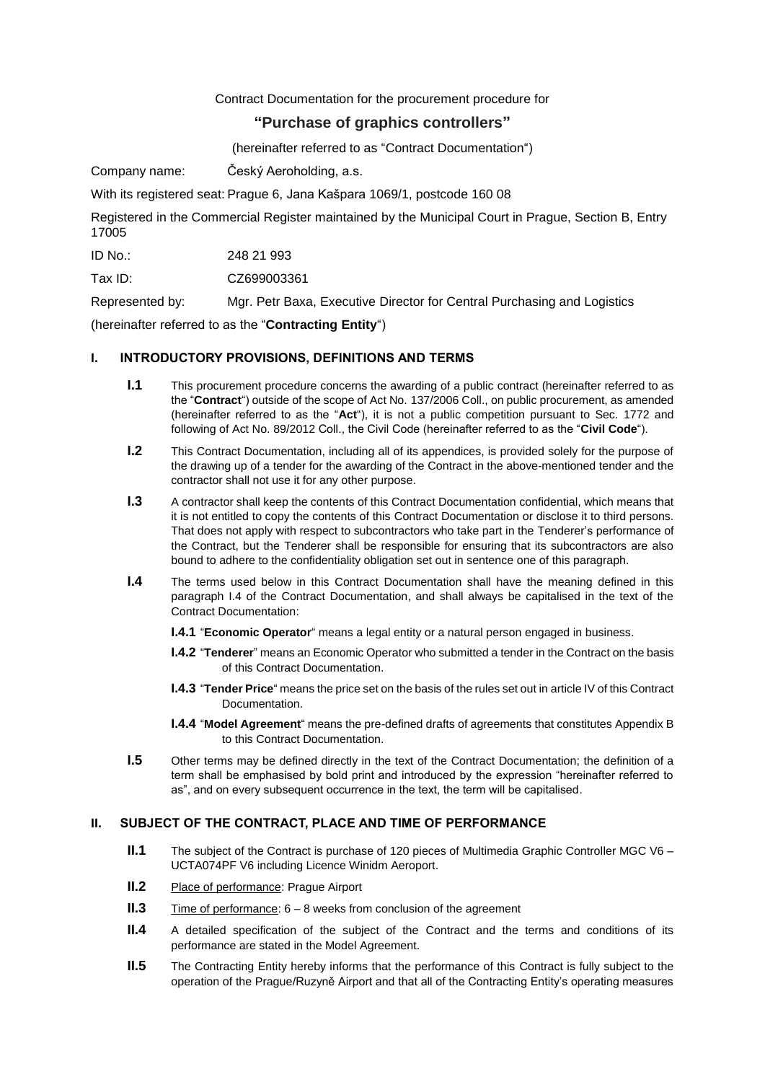# Contract Documentation for the procurement procedure for

# **"Purchase of graphics controllers"**

(hereinafter referred to as "Contract Documentation")

Company name: Český Aeroholding, a.s.

With its registered seat: Prague 6, Jana Kašpara 1069/1, postcode 160 08

Registered in the Commercial Register maintained by the Municipal Court in Prague, Section B, Entry 17005

ID No.: 248 21 993

Tax ID: CZ699003361

Represented by: Mgr. Petr Baxa, Executive Director for Central Purchasing and Logistics

(hereinafter referred to as the "**Contracting Entity**")

## **I. INTRODUCTORY PROVISIONS, DEFINITIONS AND TERMS**

- **I.1** This procurement procedure concerns the awarding of a public contract (hereinafter referred to as the "**Contract**") outside of the scope of Act No. 137/2006 Coll., on public procurement, as amended (hereinafter referred to as the "**Act**"), it is not a public competition pursuant to Sec. 1772 and following of Act No. 89/2012 Coll., the Civil Code (hereinafter referred to as the "**Civil Code**").
- **I.2** This Contract Documentation, including all of its appendices, is provided solely for the purpose of the drawing up of a tender for the awarding of the Contract in the above-mentioned tender and the contractor shall not use it for any other purpose.
- **I.3** A contractor shall keep the contents of this Contract Documentation confidential, which means that it is not entitled to copy the contents of this Contract Documentation or disclose it to third persons. That does not apply with respect to subcontractors who take part in the Tenderer's performance of the Contract, but the Tenderer shall be responsible for ensuring that its subcontractors are also bound to adhere to the confidentiality obligation set out in sentence one of this paragraph.
- **I.4** The terms used below in this Contract Documentation shall have the meaning defined in this paragraph I.4 of the Contract Documentation, and shall always be capitalised in the text of the Contract Documentation:
	- **I.4.1** "**Economic Operator**" means a legal entity or a natural person engaged in business.
	- **I.4.2** "**Tenderer**" means an Economic Operator who submitted a tender in the Contract on the basis of this Contract Documentation.
	- **I.4.3** "**Tender Price**" means the price set on the basis of the rules set out in article [IV](#page-2-0) of this Contract Documentation.
	- **I.4.4** "**Model Agreement**" means the pre-defined drafts of agreements that constitutes Appendix B to this Contract Documentation.
- **I.5** Other terms may be defined directly in the text of the Contract Documentation; the definition of a term shall be emphasised by bold print and introduced by the expression "hereinafter referred to as", and on every subsequent occurrence in the text, the term will be capitalised.

### **II. SUBJECT OF THE CONTRACT, PLACE AND TIME OF PERFORMANCE**

- **II.1** The subject of the Contract is purchase of 120 pieces of Multimedia Graphic Controller MGC V6 UCTA074PF V6 including Licence Winidm Aeroport.
- **II.2** Place of performance: Prague Airport
- **II.3** Time of performance: 6 8 weeks from conclusion of the agreement
- **II.4** A detailed specification of the subject of the Contract and the terms and conditions of its performance are stated in the Model Agreement.
- **II.5** The Contracting Entity hereby informs that the performance of this Contract is fully subject to the operation of the Prague/Ruzyně Airport and that all of the Contracting Entity's operating measures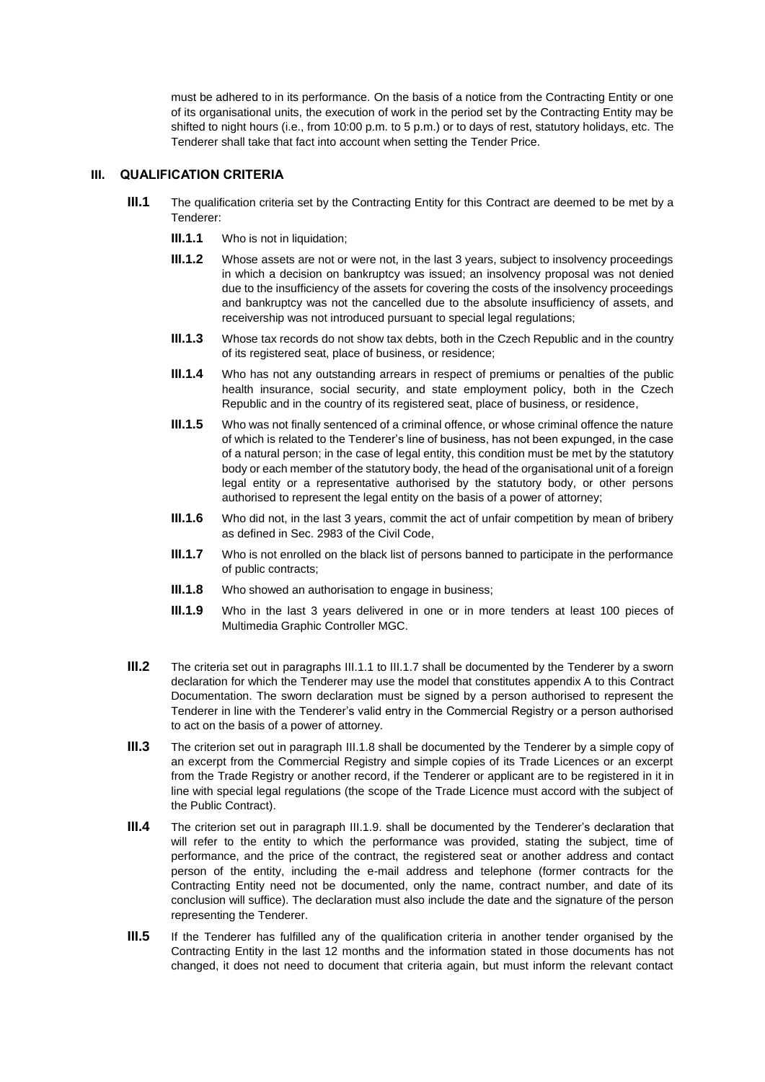must be adhered to in its performance. On the basis of a notice from the Contracting Entity or one of its organisational units, the execution of work in the period set by the Contracting Entity may be shifted to night hours (i.e., from 10:00 p.m. to 5 p.m.) or to days of rest, statutory holidays, etc. The Tenderer shall take that fact into account when setting the Tender Price.

### **III. QUALIFICATION CRITERIA**

- **III.1** The qualification criteria set by the Contracting Entity for this Contract are deemed to be met by a Tenderer:
	- **III.1.1** Who is not in liquidation:
	- **III.1.2** Whose assets are not or were not, in the last 3 years, subject to insolvency proceedings in which a decision on bankruptcy was issued; an insolvency proposal was not denied due to the insufficiency of the assets for covering the costs of the insolvency proceedings and bankruptcy was not the cancelled due to the absolute insufficiency of assets, and receivership was not introduced pursuant to special legal regulations;
	- **III.1.3** Whose tax records do not show tax debts, both in the Czech Republic and in the country of its registered seat, place of business, or residence;
	- **III.1.4** Who has not any outstanding arrears in respect of premiums or penalties of the public health insurance, social security, and state employment policy, both in the Czech Republic and in the country of its registered seat, place of business, or residence,
	- **III.1.5** Who was not finally sentenced of a criminal offence, or whose criminal offence the nature of which is related to the Tenderer's line of business, has not been expunged, in the case of a natural person; in the case of legal entity, this condition must be met by the statutory body or each member of the statutory body, the head of the organisational unit of a foreign legal entity or a representative authorised by the statutory body, or other persons authorised to represent the legal entity on the basis of a power of attorney;
	- **III.1.6** Who did not, in the last 3 years, commit the act of unfair competition by mean of bribery as defined in Sec. 2983 of the Civil Code,
	- **III.1.7** Who is not enrolled on the black list of persons banned to participate in the performance of public contracts;
	- **III.1.8** Who showed an authorisation to engage in business;
	- **III.1.9** Who in the last 3 years delivered in one or in more tenders at least 100 pieces of Multimedia Graphic Controller MGC.
- <span id="page-1-0"></span>**III.2** The criteria set out in paragraphs III.1.1 to [III.1.7](#page-1-0) shall be documented by the Tenderer by a sworn declaration for which the Tenderer may use the model that constitutes appendix A to this Contract Documentation. The sworn declaration must be signed by a person authorised to represent the Tenderer in line with the Tenderer's valid entry in the Commercial Registry or a person authorised to act on the basis of a power of attorney.
- **III.3** The criterion set out in paragraph III.1.8 shall be documented by the Tenderer by a simple copy of an excerpt from the Commercial Registry and simple copies of its Trade Licences or an excerpt from the Trade Registry or another record, if the Tenderer or applicant are to be registered in it in line with special legal regulations (the scope of the Trade Licence must accord with the subject of the Public Contract).
- **III.4** The criterion set out in paragraph III.1.9. shall be documented by the Tenderer's declaration that will refer to the entity to which the performance was provided, stating the subject, time of performance, and the price of the contract, the registered seat or another address and contact person of the entity, including the e-mail address and telephone (former contracts for the Contracting Entity need not be documented, only the name, contract number, and date of its conclusion will suffice). The declaration must also include the date and the signature of the person representing the Tenderer.
- **III.5** If the Tenderer has fulfilled any of the qualification criteria in another tender organised by the Contracting Entity in the last 12 months and the information stated in those documents has not changed, it does not need to document that criteria again, but must inform the relevant contact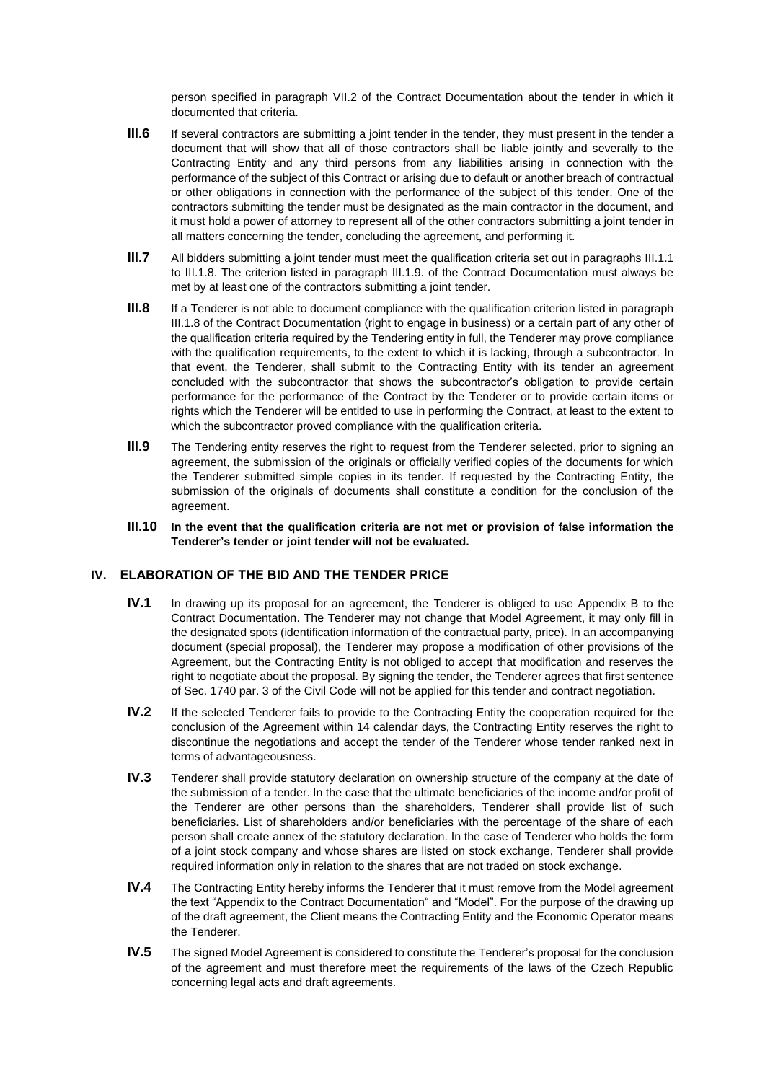person specified in paragraph [VII.2](#page-4-0) of the Contract Documentation about the tender in which it documented that criteria.

- **III.6** If several contractors are submitting a joint tender in the tender, they must present in the tender a document that will show that all of those contractors shall be liable jointly and severally to the Contracting Entity and any third persons from any liabilities arising in connection with the performance of the subject of this Contract or arising due to default or another breach of contractual or other obligations in connection with the performance of the subject of this tender. One of the contractors submitting the tender must be designated as the main contractor in the document, and it must hold a power of attorney to represent all of the other contractors submitting a joint tender in all matters concerning the tender, concluding the agreement, and performing it.
- **III.7** All bidders submitting a joint tender must meet the qualification criteria set out in paragraphs III.1.1 to III.1.8. The criterion listed in paragraph III.1.9. of the Contract Documentation must always be met by at least one of the contractors submitting a joint tender.
- **III.8** If a Tenderer is not able to document compliance with the qualification criterion listed in paragraph III.1.8 of the Contract Documentation (right to engage in business) or a certain part of any other of the qualification criteria required by the Tendering entity in full, the Tenderer may prove compliance with the qualification requirements, to the extent to which it is lacking, through a subcontractor. In that event, the Tenderer, shall submit to the Contracting Entity with its tender an agreement concluded with the subcontractor that shows the subcontractor's obligation to provide certain performance for the performance of the Contract by the Tenderer or to provide certain items or rights which the Tenderer will be entitled to use in performing the Contract, at least to the extent to which the subcontractor proved compliance with the qualification criteria.
- **III.9** The Tendering entity reserves the right to request from the Tenderer selected, prior to signing an agreement, the submission of the originals or officially verified copies of the documents for which the Tenderer submitted simple copies in its tender. If requested by the Contracting Entity, the submission of the originals of documents shall constitute a condition for the conclusion of the agreement.
- **III.10 In the event that the qualification criteria are not met or provision of false information the Tenderer's tender or joint tender will not be evaluated.**

### <span id="page-2-0"></span>**IV. ELABORATION OF THE BID AND THE TENDER PRICE**

- **IV.1** In drawing up its proposal for an agreement, the Tenderer is obliged to use Appendix B to the Contract Documentation. The Tenderer may not change that Model Agreement, it may only fill in the designated spots (identification information of the contractual party, price). In an accompanying document (special proposal), the Tenderer may propose a modification of other provisions of the Agreement, but the Contracting Entity is not obliged to accept that modification and reserves the right to negotiate about the proposal. By signing the tender, the Tenderer agrees that first sentence of Sec. 1740 par. 3 of the Civil Code will not be applied for this tender and contract negotiation.
- **IV.2** If the selected Tenderer fails to provide to the Contracting Entity the cooperation required for the conclusion of the Agreement within 14 calendar days, the Contracting Entity reserves the right to discontinue the negotiations and accept the tender of the Tenderer whose tender ranked next in terms of advantageousness.
- **IV.3** Tenderer shall provide statutory declaration on ownership structure of the company at the date of the submission of a tender. In the case that the ultimate beneficiaries of the income and/or profit of the Tenderer are other persons than the shareholders, Tenderer shall provide list of such beneficiaries. List of shareholders and/or beneficiaries with the percentage of the share of each person shall create annex of the statutory declaration. In the case of Tenderer who holds the form of a joint stock company and whose shares are listed on stock exchange, Tenderer shall provide required information only in relation to the shares that are not traded on stock exchange.
- **IV.4** The Contracting Entity hereby informs the Tenderer that it must remove from the Model agreement the text "Appendix to the Contract Documentation" and "Model". For the purpose of the drawing up of the draft agreement, the Client means the Contracting Entity and the Economic Operator means the Tenderer.
- **IV.5** The signed Model Agreement is considered to constitute the Tenderer's proposal for the conclusion of the agreement and must therefore meet the requirements of the laws of the Czech Republic concerning legal acts and draft agreements.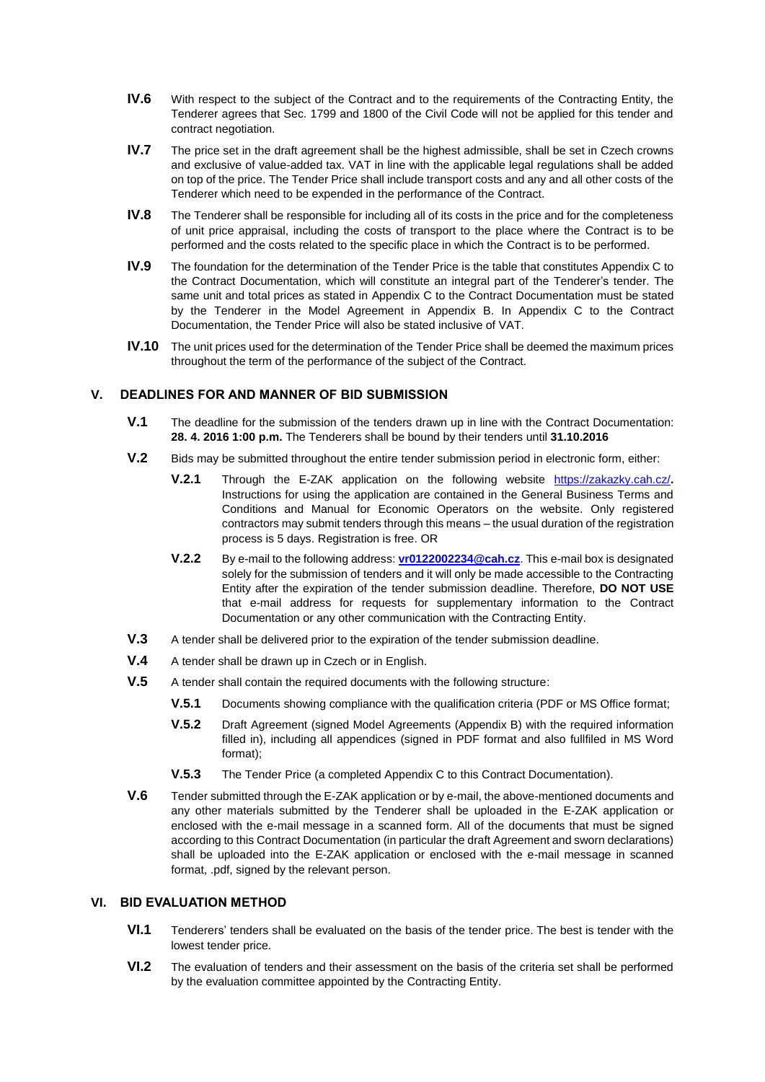- **IV.6** With respect to the subject of the Contract and to the requirements of the Contracting Entity, the Tenderer agrees that Sec. 1799 and 1800 of the Civil Code will not be applied for this tender and contract negotiation.
- **IV.7** The price set in the draft agreement shall be the highest admissible, shall be set in Czech crowns and exclusive of value-added tax. VAT in line with the applicable legal regulations shall be added on top of the price. The Tender Price shall include transport costs and any and all other costs of the Tenderer which need to be expended in the performance of the Contract.
- **IV.8** The Tenderer shall be responsible for including all of its costs in the price and for the completeness of unit price appraisal, including the costs of transport to the place where the Contract is to be performed and the costs related to the specific place in which the Contract is to be performed.
- **IV.9** The foundation for the determination of the Tender Price is the table that constitutes Appendix C to the Contract Documentation, which will constitute an integral part of the Tenderer's tender. The same unit and total prices as stated in Appendix C to the Contract Documentation must be stated by the Tenderer in the Model Agreement in Appendix B. In Appendix C to the Contract Documentation, the Tender Price will also be stated inclusive of VAT.
- **IV.10** The unit prices used for the determination of the Tender Price shall be deemed the maximum prices throughout the term of the performance of the subject of the Contract.

## <span id="page-3-0"></span>**V. DEADLINES FOR AND MANNER OF BID SUBMISSION**

- **V.1** The deadline for the submission of the tenders drawn up in line with the Contract Documentation: **28. 4. 2016 1:00 p.m.** The Tenderers shall be bound by their tenders until **31.10.2016**
- **V.2** Bids may be submitted throughout the entire tender submission period in electronic form, either:
	- **V.2.1** Through the E-ZAK application on the following website <https://zakazky.cah.cz/>**.** Instructions for using the application are contained in the General Business Terms and Conditions and Manual for Economic Operators on the website. Only registered contractors may submit tenders through this means – the usual duration of the registration process is 5 days. Registration is free. OR
	- **V.2.2** By e-mail to the following address: **[vr0122002234@cah.cz](mailto:vr0122002234@cah.cz)**. This e-mail box is designated solely for the submission of tenders and it will only be made accessible to the Contracting Entity after the expiration of the tender submission deadline. Therefore, **DO NOT USE** that e-mail address for requests for supplementary information to the Contract Documentation or any other communication with the Contracting Entity.
- **V.3** A tender shall be delivered prior to the expiration of the tender submission deadline.
- **V.4** A tender shall be drawn up in Czech or in English.
- **V.5** A tender shall contain the required documents with the following structure:
	- **V.5.1** Documents showing compliance with the qualification criteria (PDF or MS Office format;
	- **V.5.2** Draft Agreement (signed Model Agreements (Appendix B) with the required information filled in), including all appendices (signed in PDF format and also fullfiled in MS Word format);
	- **V.5.3** The Tender Price (a completed Appendix C to this Contract Documentation).
- **V.6** Tender submitted through the E-ZAK application or by e-mail, the above-mentioned documents and any other materials submitted by the Tenderer shall be uploaded in the E-ZAK application or enclosed with the e-mail message in a scanned form. All of the documents that must be signed according to this Contract Documentation (in particular the draft Agreement and sworn declarations) shall be uploaded into the E-ZAK application or enclosed with the e-mail message in scanned format, .pdf, signed by the relevant person.

# **VI. BID EVALUATION METHOD**

- **VI.1** Tenderers' tenders shall be evaluated on the basis of the tender price. The best is tender with the lowest tender price.
- **VI.2** The evaluation of tenders and their assessment on the basis of the criteria set shall be performed by the evaluation committee appointed by the Contracting Entity.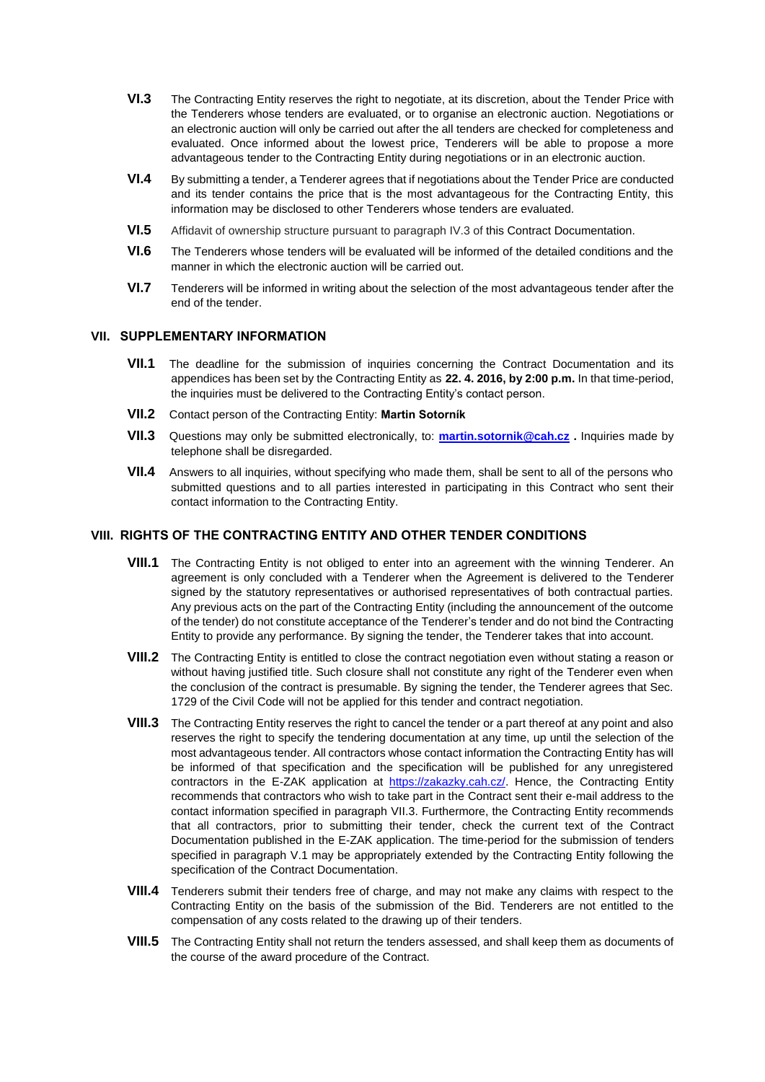- **VI.3** The Contracting Entity reserves the right to negotiate, at its discretion, about the Tender Price with the Tenderers whose tenders are evaluated, or to organise an electronic auction. Negotiations or an electronic auction will only be carried out after the all tenders are checked for completeness and evaluated. Once informed about the lowest price, Tenderers will be able to propose a more advantageous tender to the Contracting Entity during negotiations or in an electronic auction.
- **VI.4** By submitting a tender, a Tenderer agrees that if negotiations about the Tender Price are conducted and its tender contains the price that is the most advantageous for the Contracting Entity, this information may be disclosed to other Tenderers whose tenders are evaluated.
- **VI.5** Affidavit of ownership structure pursuant to paragraph IV.3 of this Contract Documentation.
- **VI.6** The Tenderers whose tenders will be evaluated will be informed of the detailed conditions and the manner in which the electronic auction will be carried out.
- **VI.7** Tenderers will be informed in writing about the selection of the most advantageous tender after the end of the tender.

#### **VII. SUPPLEMENTARY INFORMATION**

- **VII.1** The deadline for the submission of inquiries concerning the Contract Documentation and its appendices has been set by the Contracting Entity as **22. 4. 2016, by 2:00 p.m.** In that time-period, the inquiries must be delivered to the Contracting Entity's contact person.
- <span id="page-4-0"></span>**VII.2** Contact person of the Contracting Entity: **Martin Sotorník**
- <span id="page-4-1"></span>**VII.3** Questions may only be submitted electronically, to: **[martin.sotornik@cah.cz](mailto:martin.sotornik@cah.cz) .** Inquiries made by telephone shall be disregarded.
- **VII.4** Answers to all inquiries, without specifying who made them, shall be sent to all of the persons who submitted questions and to all parties interested in participating in this Contract who sent their contact information to the Contracting Entity.

# **VIII. RIGHTS OF THE CONTRACTING ENTITY AND OTHER TENDER CONDITIONS**

- **VIII.1** The Contracting Entity is not obliged to enter into an agreement with the winning Tenderer. An agreement is only concluded with a Tenderer when the Agreement is delivered to the Tenderer signed by the statutory representatives or authorised representatives of both contractual parties. Any previous acts on the part of the Contracting Entity (including the announcement of the outcome of the tender) do not constitute acceptance of the Tenderer's tender and do not bind the Contracting Entity to provide any performance. By signing the tender, the Tenderer takes that into account.
- **VIII.2** The Contracting Entity is entitled to close the contract negotiation even without stating a reason or without having justified title. Such closure shall not constitute any right of the Tenderer even when the conclusion of the contract is presumable. By signing the tender, the Tenderer agrees that Sec. 1729 of the Civil Code will not be applied for this tender and contract negotiation.
- **VIII.3** The Contracting Entity reserves the right to cancel the tender or a part thereof at any point and also reserves the right to specify the tendering documentation at any time, up until the selection of the most advantageous tender. All contractors whose contact information the Contracting Entity has will be informed of that specification and the specification will be published for any unregistered contractors in the E-ZAK application at [https://zakazky.cah.cz/.](https://zakazky.cah.cz/) Hence, the Contracting Entity recommends that contractors who wish to take part in the Contract sent their e-mail address to the contact information specified in paragraph [VII.3.](#page-4-1) Furthermore, the Contracting Entity recommends that all contractors, prior to submitting their tender, check the current text of the Contract Documentation published in the E-ZAK application. The time-period for the submission of tenders specified in paragraph [V.1](#page-3-0) may be appropriately extended by the Contracting Entity following the specification of the Contract Documentation.
- **VIII.4** Tenderers submit their tenders free of charge, and may not make any claims with respect to the Contracting Entity on the basis of the submission of the Bid. Tenderers are not entitled to the compensation of any costs related to the drawing up of their tenders.
- **VIII.5** The Contracting Entity shall not return the tenders assessed, and shall keep them as documents of the course of the award procedure of the Contract.